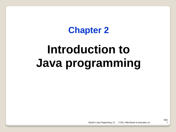# **Chapter 2**

# **Introduction to Java programming**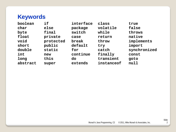# **Keywords**

| boolean  | if        | interface | class      | true         |
|----------|-----------|-----------|------------|--------------|
| char     | else      | package   | volatile   | false        |
| byte     | final     | switch    | while      | throws       |
| float    | private   | case      | return     | native       |
| void     | protected | break     | throw      | implements   |
| short    | public    | default   | try        | import       |
| double   | static    | for       | catch      | synchronized |
| int      | new       | continue  | finally    | const        |
| long     | this      | do        | transient  | goto         |
| abstract | super     | extends   | instanceof | null         |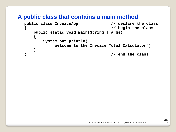#### **A public class that contains a main method**

```
public class InvoiceApp // declare the class
{ // begin the class
    public static void main(String[] args)
    {
       System.out.println(
           "Welcome to the Invoice Total Calculator");
 }
                              } // end the class
```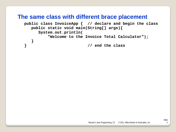#### **The same class with different brace placement**

```
public class InvoiceApp { // declare and begin the class
   public static void main(String[] args){
      System.out.println(
          "Welcome to the Invoice Total Calculator");
    }
} // end the class
```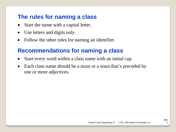# **The rules for naming a class**

- Start the name with a capital letter.
- Use letters and digits only.
- Follow the other rules for naming an identifier.

# **Recommendations for naming a class**

- Start every word within a class name with an initial cap.
- Each class name should be a noun or a noun that's preceded by one or more adjectives.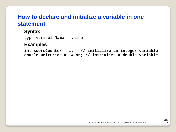# **How to declare and initialize a variable in one statement**

#### **Syntax**

type variableName **=** value**;**

#### **Examples**

**int scoreCounter = 1; // initialize an integer variable double unitPrice = 14.95; // initialize a double variable**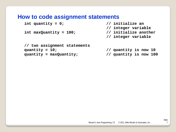#### **How to code assignment statements**

```
int quantity = 0; // initialize an
```

```
int maxQuantity = 100; // initialize another
```
- **// integer variable**
- **// integer variable**

```
// two assignment statements
quantity = 10; // quantity is now 10
quantity = maxQuantity; // quantity is now 100
```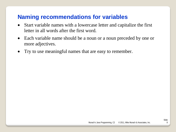# **Naming recommendations for variables**

- Start variable names with a lowercase letter and capitalize the first letter in all words after the first word.
- Each variable name should be a noun or a noun preceded by one or more adjectives.
- Try to use meaningful names that are easy to remember.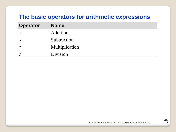# **The basic operators for arithmetic expressions**

| <b>Operator</b> | <b>Name</b>    |
|-----------------|----------------|
|                 | Addition       |
|                 | Subtraction    |
| $\star$         | Multiplication |
|                 | Division       |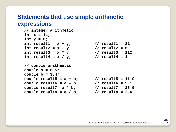#### **Statements that use simple arithmetic expressions**

```
// integer arithmetic
int x = 14;
int y = 8;
int result1 = x + y;<br>int result2 = x - y;<br>// result2 = 6
int result2 = x - y; // result2 = 6
int result3 = x * y; // result3 = 112
int result4 = x / y; \frac{y}{x} // result4 = 1
// double arithmetic
double a = 8.5;
double b = 3.4;
double result5 = a + b; // result5 = 11.9
double result6 = a - b; // result6 = 5.1
double result7= a * b; // result7 = 28.9
double result8 = a / b; // result8 = 2.5
```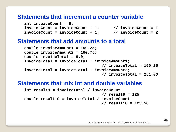#### **Statements that increment a counter variable**

```
int invoiceCount = 0;
invoiceCount = invoiceCount + 1; // invoiceCount = 1
invoiceCount = invoiceCount + 1; // invoiceCount = 2
```
#### **Statements that add amounts to a total**

```
double invoiceAmount1 = 150.25;
double invoiceAmount2 = 100.75;
double invoiceTotal = 0.0;
invoiceTotal = invoiceTotal + invoiceAmount1;
                                   // invoiceTotal = 150.25
invoiceTotal = invoiceTotal + invoiceAmount2;
                                  // invoiceTotal = 251.00
```
#### **Statements that mix int and double variables**

```
int result9 = invoiceTotal / invoiceCount
                                  // result9 = 125
double result10 = invoiceTotal / invoiceCount
                                 // result10 = 125.50
```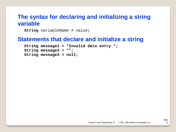#### **The syntax for declaring and initializing a string variable**

**String** variableName **=** value**;**

#### **Statements that declare and initialize a string**

**String message1 = "Invalid data entry."; String message2 = ""; String message3 = null;**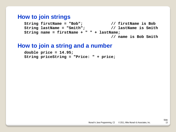#### **How to join strings**

**String firstName = "Bob"; // firstName is Bob String lastName = "Smith"; // lastName is Smith String name = firstName + " " + lastName; // name is Bob Smith**

#### **How to join a string and a number**

```
double price = 14.95;
String priceString = "Price: " + price;
```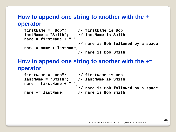#### **How to append one string to another with the + operator**

```
firstName = "Bob"; // firstName is Bob
lastName = "Smith"; // lastName is Smith
name = firstName + " ";
                       // name is Bob followed by a space
name = name + lastName;
                        // name is Bob Smith
```
# **How to append one string to another with the += operator**

```
firstName = "Bob"; // firstName is Bob
lastName = "Smith"; // lastName is Smith
name = firstName + " ";
                      // name is Bob followed by a space
name += lastName; // name is Bob Smith
```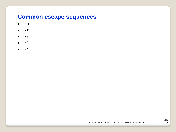#### **Common escape sequences**

- $\bullet$  \n
- $\bullet \quad \backslash t$
- $\bullet \quad \setminus r$
- $\mathcal{L}$
- $\bullet$  \\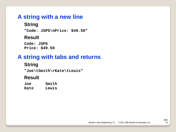# **A string with a new line**

#### **String**

**"Code: JSPS\nPrice: \$49.50"**

#### **Result**

**Code: JSPS Price: \$49.50**

# **A string with tabs and returns**

#### **String**

**"Joe\tSmith\rKate\tLewis"**

#### **Result**

| Joe  | Smith |
|------|-------|
| Kate | Lewis |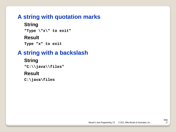# **A string with quotation marks**

# **String**

**"Type \"x\" to exit"**

#### **Result**

**Type "x" to exit**

# **A string with a backslash**

#### **String**

**"C:\\java\\files"**

#### **Result**

**C:\java\files**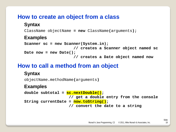### **How to create an object from a class**

#### **Syntax**

ClassName objectName **= new** ClassName**(**arguments**);**

#### **Examples**

```
Scanner sc = new Scanner(System.in);
                      // creates a Scanner object named sc
Date now = new Date();
                       // creates a Date object named now
```
# **How to call a method from an object**

#### **Syntax**

objectName**.**methodName**(**arguments**)**

#### **Examples**

```
double subtotal = sc.nextDouble();
                    // get a double entry from the console
String currentDate = now.toString();
                    // convert the date to a string
```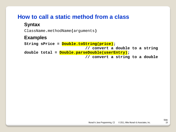# **How to call a static method from a class**

#### **Syntax**

ClassName**.**methodName**(**arguments**)**

#### **Examples**

**String sPrice = Double.toString(price); // convert a double to a string double total = Double.parseDouble(userEntry); // convert a string to a double**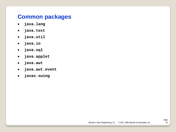# **Common packages**

- **java.lang**
- **java.text**
- **java.util**
- **java.io**
- **java.sql**
- **java.applet**
- **java.awt**
- **java.awt.event**
- **javax.swing**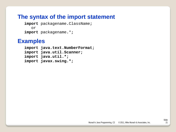#### **The syntax of the import statement**

**import** packagename**.**ClassName**;** or **import** packagename**.**\***;**

#### **Examples**

```
import java.text.NumberFormat;
import java.util.Scanner;
import java.util.*;
import javax.swing.*;
```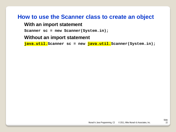# **How to use the Scanner class to create an object**

#### **With an import statement**

**Scanner sc = new Scanner(System.in);**

#### **Without an import statement**

**java.util.Scanner sc = new java.util.Scanner(System.in);**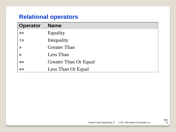# **Relational operators**

| <b>Operator</b> | <b>Name</b>                  |
|-----------------|------------------------------|
|                 | Equality                     |
| $!=$            | Inequality                   |
| $\geq$          | <b>Greater Than</b>          |
| $\prec$         | Less Than                    |
| $>=$            | <b>Greater Than Or Equal</b> |
| $\leq$          | Less Than Or Equal           |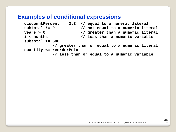#### **Examples of conditional expressions**

```
discountPercent == 2.3 // equal to a numeric literal
subtotal != 0 // not equal to a numeric literal
years > 0 // greater than a numeric literal
i < months // less than a numeric variable
subtotal >= 500
           // greater than or equal to a numeric literal
quantity <= reorderPoint
            // less than or equal to a numeric variable
```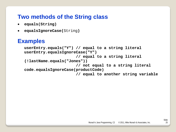# **Two methods of the String class**

- **equals(String)**
- **equalsIgnoreCase(**String**)**

# **Examples**

```
userEntry.equals("Y") // equal to a string literal
userEntry.equalsIgnoreCase("Y")
                       // equal to a string literal
(!lastName.equals("Jones"))
                       // not equal to a string literal
code.equalsIgnoreCase(productCode)
                       // equal to another string variable
```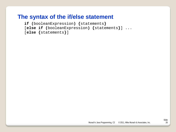#### **The syntax of the if/else statement**

**if (**booleanExpression**) {**statements**}**

```
[else if (booleanExpression) {statements}] ...
```

```
[else {statements}]
```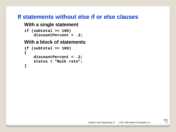#### **If statements without else if or else clauses**

#### **With a single statement**

```
if (subtotal >= 100)
     discountPercent = .2;
```
#### **With a block of statements**

```
if (subtotal >= 100)
{
     discountPercent = .2;
     status = "Bulk rate";
}
```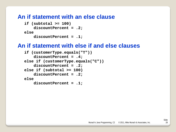#### **An if statement with an else clause**

```
if (subtotal >= 100)
     discountPercent = .2;
else
     discountPercent = .1;
```
#### **An if statement with else if and else clauses**

```
if (customerType.equals("T"))
     discountPercent = .4;
else if (customerType.equals("C"))
     discountPercent = .2;
else if (subtotal >= 100)
     discountPercent = .2;
else
     discountPercent = .1;
```